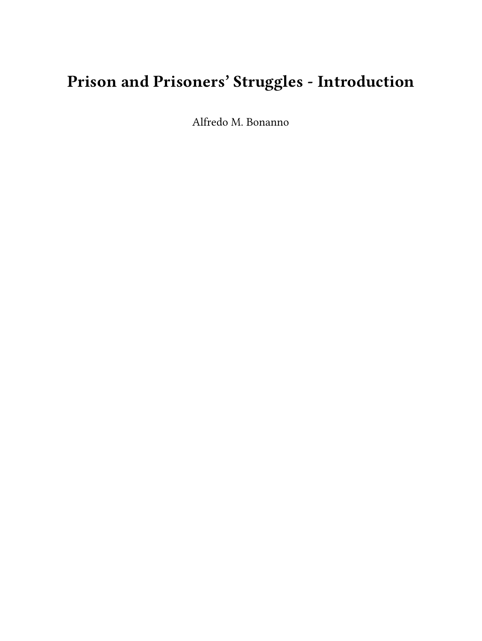## **Prison and Prisoners' Struggles - Introduction**

Alfredo M. Bonanno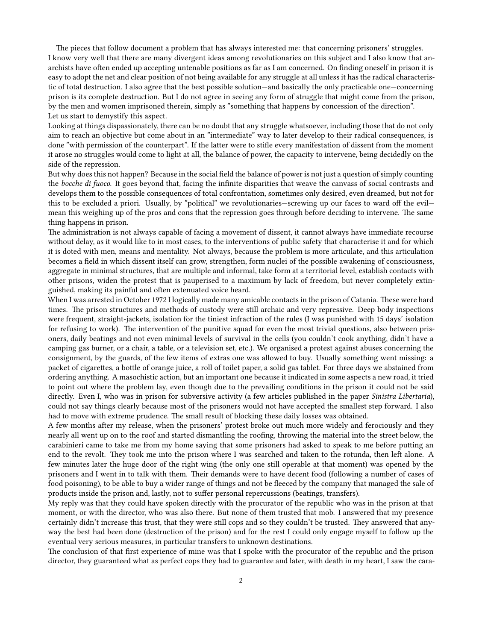The pieces that follow document a problem that has always interested me: that concerning prisoners' struggles. I know very well that there are many divergent ideas among revolutionaries on this subject and I also know that anarchists have often ended up accepting untenable positions as far as I am concerned. On finding oneself in prison it is easy to adopt the net and clear position of not being available for any struggle at all unless it has the radical characteristic of total destruction. I also agree that the best possible solution—and basically the only practicable one—concerning prison is its complete destruction. But I do not agree in seeing any form of struggle that might come from the prison, by the men and women imprisoned therein, simply as "something that happens by concession of the direction". Let us start to demystify this aspect.

Looking at things dispassionately, there can be no doubt that any struggle whatsoever, including those that do not only aim to reach an objective but come about in an "intermediate" way to later develop to their radical consequences, is done "with permission of the counterpart". If the latter were to stifle every manifestation of dissent from the moment it arose no struggles would come to light at all, the balance of power, the capacity to intervene, being decidedly on the side of the repression.

But why does this not happen? Because in the social field the balance of power is not just a question of simply counting the *bocche di fuoco*. It goes beyond that, facing the infinite disparities that weave the canvass of social contrasts and develops them to the possible consequences of total confrontation, sometimes only desired, even dreamed, but not for this to be excluded a priori. Usually, by "political" we revolutionaries—screwing up our faces to ward off the evil mean this weighing up of the pros and cons that the repression goes through before deciding to intervene. The same thing happens in prison.

The administration is not always capable of facing a movement of dissent, it cannot always have immediate recourse without delay, as it would like to in most cases, to the interventions of public safety that characterise it and for which it is doted with men, means and mentality. Not always, because the problem is more articulate, and this articulation becomes a field in which dissent itself can grow, strengthen, form nuclei of the possible awakening of consciousness, aggregate in minimal structures, that are multiple and informal, take form at a territorial level, establish contacts with other prisons, widen the protest that is pauperised to a maximum by lack of freedom, but never completely extinguished, making its painful and often extenuated voice heard.

When I was arrested in October 1972 I logically made many amicable contacts in the prison of Catania. These were hard times. The prison structures and methods of custody were still archaic and very repressive. Deep body inspections were frequent, straight-jackets, isolation for the tiniest infraction of the rules (I was punished with 15 days' isolation for refusing to work). The intervention of the punitive squad for even the most trivial questions, also between prisoners, daily beatings and not even minimal levels of survival in the cells (you couldn't cook anything, didn't have a camping gas burner, or a chair, a table, or a television set, etc.). We organised a protest against abuses concerning the consignment, by the guards, of the few items of extras one was allowed to buy. Usually something went missing: a packet of cigarettes, a bottle of orange juice, a roll of toilet paper, a solid gas tablet. For three days we abstained from ordering anything. A masochistic action, but an important one because it indicated in some aspects a new road, it tried to point out where the problem lay, even though due to the prevailing conditions in the prison it could not be said directly. Even I, who was in prison for subversive activity (a few articles published in the paper *Sinistra Libertaria*), could not say things clearly because most of the prisoners would not have accepted the smallest step forward. I also had to move with extreme prudence. The small result of blocking these daily losses was obtained.

A few months after my release, when the prisoners' protest broke out much more widely and ferociously and they nearly all went up on to the roof and started dismantling the roofing, throwing the material into the street below, the carabinieri came to take me from my home saying that some prisoners had asked to speak to me before putting an end to the revolt. They took me into the prison where I was searched and taken to the rotunda, then left alone. A few minutes later the huge door of the right wing (the only one still operable at that moment) was opened by the prisoners and I went in to talk with them. Their demands were to have decent food (following a number of cases of food poisoning), to be able to buy a wider range of things and not be fleeced by the company that managed the sale of products inside the prison and, lastly, not to suffer personal repercussions (beatings, transfers).

My reply was that they could have spoken directly with the procurator of the republic who was in the prison at that moment, or with the director, who was also there. But none of them trusted that mob. I answered that my presence certainly didn't increase this trust, that they were still cops and so they couldn't be trusted. They answered that anyway the best had been done (destruction of the prison) and for the rest I could only engage myself to follow up the eventual very serious measures, in particular transfers to unknown destinations.

The conclusion of that first experience of mine was that I spoke with the procurator of the republic and the prison director, they guaranteed what as perfect cops they had to guarantee and later, with death in my heart, I saw the cara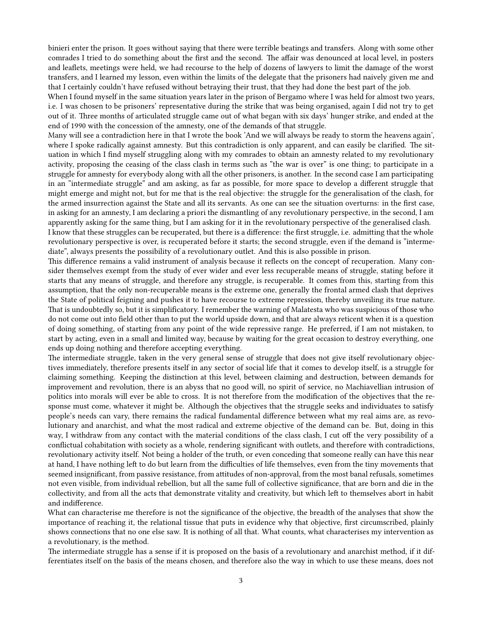binieri enter the prison. It goes without saying that there were terrible beatings and transfers. Along with some other comrades I tried to do something about the first and the second. The affair was denounced at local level, in posters and leaflets, meetings were held, we had recourse to the help of dozens of lawyers to limit the damage of the worst transfers, and I learned my lesson, even within the limits of the delegate that the prisoners had naively given me and that I certainly couldn't have refused without betraying their trust, that they had done the best part of the job.

When I found myself in the same situation years later in the prison of Bergamo where I was held for almost two years, i.e. I was chosen to be prisoners' representative during the strike that was being organised, again I did not try to get out of it. Three months of articulated struggle came out of what began with six days' hunger strike, and ended at the end of 1990 with the concession of the amnesty, one of the demands of that struggle.

Many will see a contradiction here in that I wrote the book 'And we will always be ready to storm the heavens again', where I spoke radically against amnesty. But this contradiction is only apparent, and can easily be clarified. The situation in which I find myself struggling along with my comrades to obtain an amnesty related to my revolutionary activity, proposing the ceasing of the class clash in terms such as "the war is over" is one thing; to participate in a struggle for amnesty for everybody along with all the other prisoners, is another. In the second case I am participating in an "intermediate struggle" and am asking, as far as possible, for more space to develop a different struggle that might emerge and might not, but for me that is the real objective: the struggle for the generalisation of the clash, for the armed insurrection against the State and all its servants. As one can see the situation overturns: in the first case, in asking for an amnesty, I am declaring a priori the dismantling of any revolutionary perspective, in the second, I am apparently asking for the same thing, but I am asking for it in the revolutionary perspective of the generalised clash. I know that these struggles can be recuperated, but there is a difference: the first struggle, i.e. admitting that the whole revolutionary perspective is over, is recuperated before it starts; the second struggle, even if the demand is "intermediate", always presents the possibility of a revolutionary outlet. And this is also possible in prison.

This difference remains a valid instrument of analysis because it reflects on the concept of recuperation. Many consider themselves exempt from the study of ever wider and ever less recuperable means of struggle, stating before it starts that any means of struggle, and therefore any struggle, is recuperable. It comes from this, starting from this assumption, that the only non-recuperable means is the extreme one, generally the frontal armed clash that deprives the State of political feigning and pushes it to have recourse to extreme repression, thereby unveiling its true nature. That is undoubtedly so, but it is simplificatory. I remember the warning of Malatesta who was suspicious of those who do not come out into field other than to put the world upside down, and that are always reticent when it is a question of doing something, of starting from any point of the wide repressive range. He preferred, if I am not mistaken, to start by acting, even in a small and limited way, because by waiting for the great occasion to destroy everything, one ends up doing nothing and therefore accepting everything.

The intermediate struggle, taken in the very general sense of struggle that does not give itself revolutionary objectives immediately, therefore presents itself in any sector of social life that it comes to develop itself, is a struggle for claiming something. Keeping the distinction at this level, between claiming and destruction, between demands for improvement and revolution, there is an abyss that no good will, no spirit of service, no Machiavellian intrusion of politics into morals will ever be able to cross. It is not therefore from the modification of the objectives that the response must come, whatever it might be. Although the objectives that the struggle seeks and individuates to satisfy people's needs can vary, there remains the radical fundamental difference between what my real aims are, as revolutionary and anarchist, and what the most radical and extreme objective of the demand can be. But, doing in this way, I withdraw from any contact with the material conditions of the class clash, I cut off the very possibility of a conflictual cohabitation with society as a whole, rendering significant with outlets, and therefore with contradictions, revolutionary activity itself. Not being a holder of the truth, or even conceding that someone really can have this near at hand, I have nothing left to do but learn from the difficulties of life themselves, even from the tiny movements that seemed insignificant, from passive resistance, from attitudes of non-approval, from the most banal refusals, sometimes not even visible, from individual rebellion, but all the same full of collective significance, that are born and die in the collectivity, and from all the acts that demonstrate vitality and creativity, but which left to themselves abort in habit and indifference.

What can characterise me therefore is not the significance of the objective, the breadth of the analyses that show the importance of reaching it, the relational tissue that puts in evidence why that objective, first circumscribed, plainly shows connections that no one else saw. It is nothing of all that. What counts, what characterises my intervention as a revolutionary, is the method.

The intermediate struggle has a sense if it is proposed on the basis of a revolutionary and anarchist method, if it differentiates itself on the basis of the means chosen, and therefore also the way in which to use these means, does not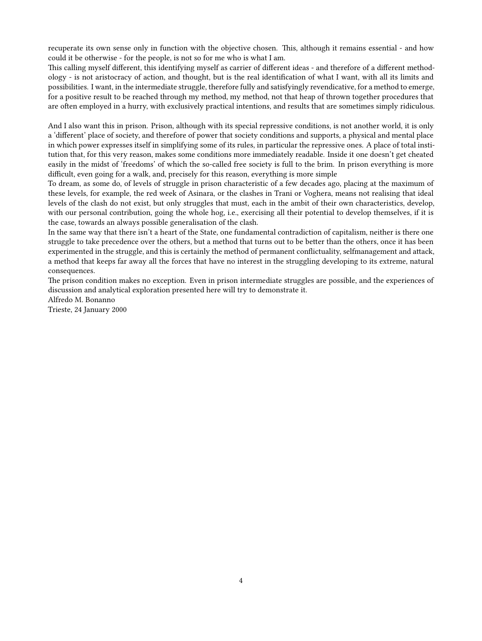recuperate its own sense only in function with the objective chosen. This, although it remains essential - and how could it be otherwise - for the people, is not so for me who is what I am.

This calling myself different, this identifying myself as carrier of different ideas - and therefore of a different methodology - is not aristocracy of action, and thought, but is the real identification of what I want, with all its limits and possibilities. I want, in the intermediate struggle, therefore fully and satisfyingly revendicative, for a method to emerge, for a positive result to be reached through my method, my method, not that heap of thrown together procedures that are often employed in a hurry, with exclusively practical intentions, and results that are sometimes simply ridiculous.

And I also want this in prison. Prison, although with its special repressive conditions, is not another world, it is only a 'different' place of society, and therefore of power that society conditions and supports, a physical and mental place in which power expresses itself in simplifying some of its rules, in particular the repressive ones. A place of total institution that, for this very reason, makes some conditions more immediately readable. Inside it one doesn't get cheated easily in the midst of 'freedoms' of which the so-called free society is full to the brim. In prison everything is more difficult, even going for a walk, and, precisely for this reason, everything is more simple

To dream, as some do, of levels of struggle in prison characteristic of a few decades ago, placing at the maximum of these levels, for example, the red week of Asinara, or the clashes in Trani or Voghera, means not realising that ideal levels of the clash do not exist, but only struggles that must, each in the ambit of their own characteristics, develop, with our personal contribution, going the whole hog, i.e., exercising all their potential to develop themselves, if it is the case, towards an always possible generalisation of the clash.

In the same way that there isn't a heart of the State, one fundamental contradiction of capitalism, neither is there one struggle to take precedence over the others, but a method that turns out to be better than the others, once it has been experimented in the struggle, and this is certainly the method of permanent conflictuality, selfmanagement and attack, a method that keeps far away all the forces that have no interest in the struggling developing to its extreme, natural consequences.

The prison condition makes no exception. Even in prison intermediate struggles are possible, and the experiences of discussion and analytical exploration presented here will try to demonstrate it.

Alfredo M. Bonanno

Trieste, 24 January 2000